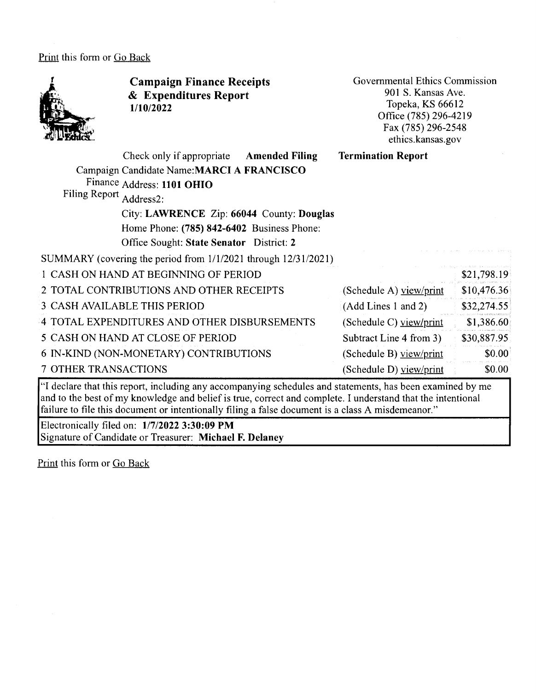Print this form or Go Back



**Campaign Finance Receipts**  & **Expenditures Report 1/10/2022** 

Governmental Ethics Commission 901 S. Kansas Ave. Topeka, KS 66612 Office (785) 296-4219 Fax (785) 296-2548 ethics.kansas.gov

|                         | Check only if appropriate                                           | <b>Amended Filing</b> | <b>Termination Report</b> |             |
|-------------------------|---------------------------------------------------------------------|-----------------------|---------------------------|-------------|
|                         | Campaign Candidate Name: MARCI A FRANCISCO                          |                       |                           |             |
|                         | Finance Address: 1101 OHIO                                          |                       |                           |             |
| Filing Report Address2: |                                                                     |                       |                           |             |
|                         | City: LAWRENCE Zip: 66044 County: Douglas                           |                       |                           |             |
|                         | Home Phone: (785) 842-6402 Business Phone:                          |                       |                           |             |
|                         | Office Sought: State Senator District: 2                            |                       |                           |             |
|                         | SUMMARY (covering the period from $1/1/2021$ through $12/31/2021$ ) |                       |                           |             |
|                         | 1 CASH ON HAND AT BEGINNING OF PERIOD                               |                       |                           | \$21,798.19 |
|                         | 2 TOTAL CONTRIBUTIONS AND OTHER RECEIPTS                            |                       | (Schedule A) view/print   | \$10,476.36 |
|                         | 3 CASH AVAILABLE THIS PERIOD                                        |                       | (Add Lines 1 and 2)       | \$32,274.55 |
|                         | 4 TOTAL EXPENDITURES AND OTHER DISBURSEMENTS                        |                       | (Schedule C) view/print   | \$1,386.60  |
|                         | 5 CASH ON HAND AT CLOSE OF PERIOD                                   |                       | Subtract Line 4 from 3)   | \$30,887.95 |
|                         | 6 IN-KIND (NON-MONETARY) CONTRIBUTIONS                              |                       | (Schedule B) view/print   | \$0.00      |
| 7 OTHER TRANSACTIONS    |                                                                     |                       | (Schedule D) yiew/print   | \$0.00      |

"I declare that this report, including any accompanying schedules and statements, has been examined by me and to the best of my knowledge and belief is true, correct and complete. I understand that the intentional failure to file this document or intentionally filing a false document is a class A misdemeanor."

Electronically filed on: **1/7/2022 3:30:09 PM**  Signature of Candidate or Treasurer: **Michael F. Delaney** 

Print this form or Go Back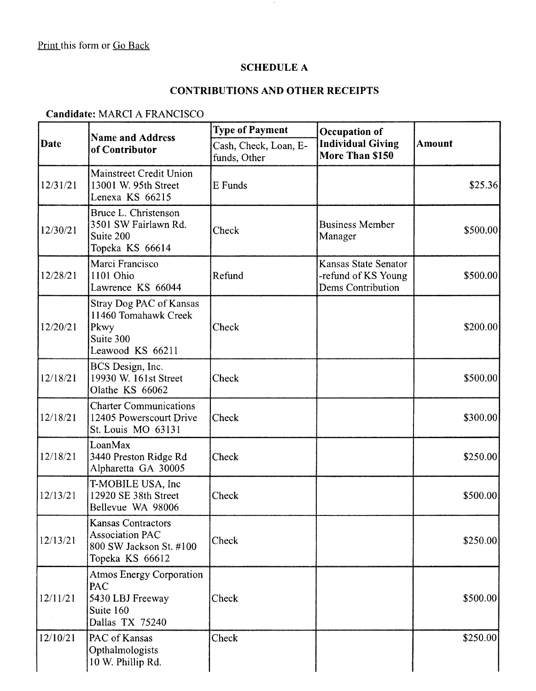# **SCHEDULE A**

 $\epsilon$ 

### **CONTRIBUTIONS AND OTHER RECEIPTS**

#### **Candidate:** MARCI A FRANCISCO

| <b>Date</b> | <b>Name and Address</b><br>of Contributor                                                         | <b>Type of Payment</b>                | Occupation of                                                    |               |
|-------------|---------------------------------------------------------------------------------------------------|---------------------------------------|------------------------------------------------------------------|---------------|
|             |                                                                                                   | Cash, Check, Loan, E-<br>funds, Other | <b>Individual Giving</b><br>More Than \$150                      | <b>Amount</b> |
| 12/31/21    | Mainstreet Credit Union<br>13001 W. 95th Street<br>Lenexa KS 66215                                | E Funds                               |                                                                  | \$25.36       |
| 12/30/21    | Bruce L. Christenson<br>3501 SW Fairlawn Rd.<br>Suite 200<br>Topeka KS 66614                      | Check                                 | <b>Business Member</b><br>Manager                                | \$500.00      |
| 12/28/21    | Marci Francisco<br>1101 Ohio<br>Lawrence KS 66044                                                 | Refund                                | Kansas State Senator<br>-refund of KS Young<br>Dems Contribution | \$500.00      |
| 12/20/21    | Stray Dog PAC of Kansas<br>11460 Tomahawk Creek<br>Pkwy<br>Suite 300<br>Leawood KS 66211          | Check                                 |                                                                  | \$200.00]     |
| 12/18/21    | BCS Design, Inc.<br>19930 W. 161st Street<br>Olathe KS 66062                                      | Check                                 |                                                                  | \$500.00      |
| 12/18/21    | <b>Charter Communications</b><br>12405 Powerscourt Drive<br>St. Louis MO 63131                    | Check                                 |                                                                  | \$300.00      |
| 12/18/21    | LoanMax<br>3440 Preston Ridge Rd<br>Alpharetta GA 30005                                           | Check                                 |                                                                  | \$250.00      |
| 12/13/21    | T-MOBILE USA, Inc.<br>12920 SE 38th Street<br>Bellevue WA 98006                                   | Check                                 |                                                                  | \$500.00      |
| 12/13/21    | <b>Kansas Contractors</b><br><b>Association PAC</b><br>800 SW Jackson St. #100<br>Topeka KS 66612 | Check                                 |                                                                  | \$250.00]     |
| 12/11/21    | <b>Atmos Energy Corporation</b><br>PAC<br>5430 LBJ Freeway<br>Suite 160<br>Dallas TX 75240        | Check                                 |                                                                  | \$500.00      |
| 12/10/21    | PAC of Kansas<br>Opthalmologists<br>10 W. Phillip Rd.                                             | Check                                 |                                                                  | \$250.00      |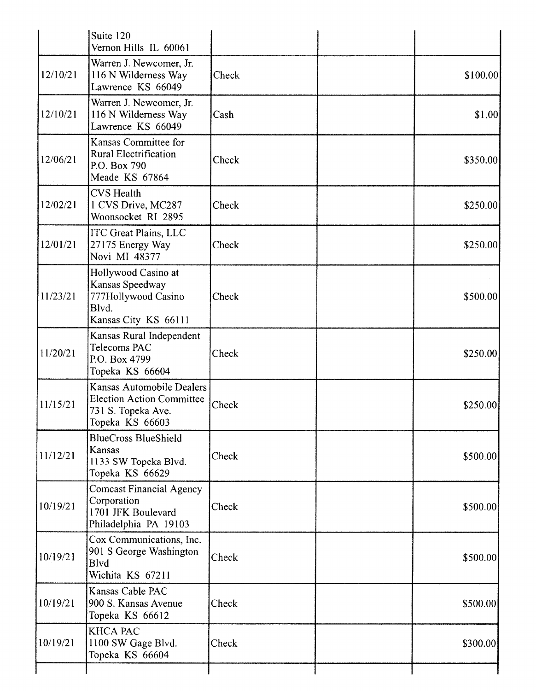|          | Suite 120<br>Vernon Hills IL 60061                                                                     |       |          |
|----------|--------------------------------------------------------------------------------------------------------|-------|----------|
| 12/10/21 | Warren J. Newcomer, Jr.<br>116 N Wilderness Way<br>Lawrence KS 66049                                   | Check | \$100.00 |
| 12/10/21 | Warren J. Newcomer, Jr.<br>116 N Wilderness Way<br>Lawrence KS 66049                                   | Cash  | \$1.00   |
| 12/06/21 | Kansas Committee for<br><b>Rural Electrification</b><br>P.O. Box 790<br>Meade KS 67864                 | Check | \$350.00 |
| 12/02/21 | <b>CVS</b> Health<br>1 CVS Drive, MC287<br>Woonsocket RI 2895                                          | Check | \$250.00 |
| 12/01/21 | <b>ITC Great Plains, LLC</b><br>27175 Energy Way<br>Novi MI 48377                                      | Check | \$250.00 |
| 11/23/21 | Hollywood Casino at<br>Kansas Speedway<br>777Hollywood Casino<br>Blvd.<br>Kansas City KS 66111         | Check | \$500.00 |
| 11/20/21 | Kansas Rural Independent<br>Telecoms PAC<br>P.O. Box 4799<br>Topeka KS 66604                           | Check | \$250.00 |
| 11/15/21 | Kansas Automobile Dealers<br><b>Election Action Committee</b><br>731 S. Topeka Ave.<br>Topeka KS 66603 | Check | \$250.00 |
| 11/12/21 | <b>BlueCross BlueShield</b><br>Kansas<br>1133 SW Topeka Blvd.<br>Topeka KS 66629                       | Check | \$500.00 |
| 10/19/21 | <b>Comcast Financial Agency</b><br>Corporation<br>1701 JFK Boulevard<br>Philadelphia PA 19103          | Check | \$500.00 |
| 10/19/21 | Cox Communications, Inc.<br>901 S George Washington<br><b>B</b> lvd<br>Wichita KS 67211                | Check | \$500.00 |
| 10/19/21 | Kansas Cable PAC<br>900 S. Kansas Avenue<br>Topeka KS 66612                                            | Check | \$500.00 |
| 10/19/21 | <b>KHCA PAC</b><br>1100 SW Gage Blvd.<br>Topeka KS 66604                                               | Check | \$300.00 |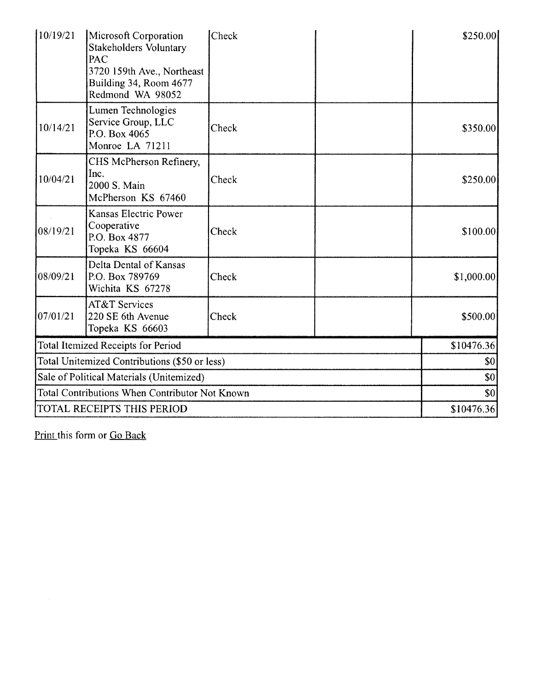| 10/19/21                                       | Microsoft Corporation<br><b>Stakeholders Voluntary</b><br>PAC<br>3720 159th Ave., Northeast<br>Building 34, Room 4677<br>Redmond WA 98052 | Check |            | \$250.00   |
|------------------------------------------------|-------------------------------------------------------------------------------------------------------------------------------------------|-------|------------|------------|
| 10/14/21                                       | Lumen Technologies<br>Service Group, LLC<br>P.O. Box 4065<br>Monroe LA 71211                                                              | Check |            | \$350.00   |
| 10/04/21                                       | CHS McPherson Refinery,<br>Inc.<br>2000 S. Main<br>McPherson KS 67460                                                                     | Check |            | \$250.00   |
| 08/19/21                                       | <b>Kansas Electric Power</b><br>Cooperative<br>P.O. Box 4877<br>Topeka KS 66604                                                           | Check |            | \$100.00]  |
| 08/09/21                                       | Delta Dental of Kansas<br>P.O. Box 789769<br>Wichita KS 67278                                                                             | Check |            | \$1,000.00 |
| 07/01/21                                       | <b>AT&amp;T Services</b><br>220 SE 6th Avenue<br>Topeka KS 66603                                                                          | Check |            | \$500.00   |
|                                                | Total Itemized Receipts for Period                                                                                                        |       |            | \$10476.36 |
|                                                | Total Unitemized Contributions (\$50 or less)                                                                                             |       |            | \$0        |
| Sale of Political Materials (Unitemized)       |                                                                                                                                           |       | \$0        |            |
| Total Contributions When Contributor Not Known |                                                                                                                                           |       | \$0        |            |
| TOTAL RECEIPTS THIS PERIOD                     |                                                                                                                                           |       | \$10476.36 |            |

Print this form or Go Back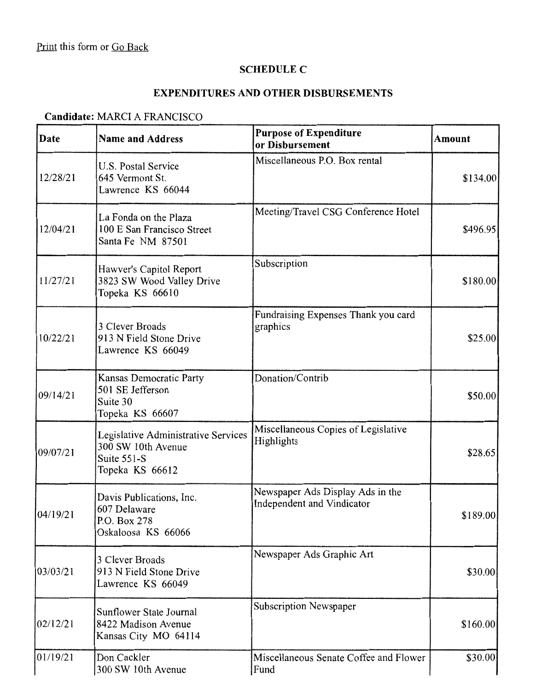# **SCHEDULE C**

# **EXPENDITURES AND OTHER DISBURSEMENTS**

### **Candidate:** MARCI A FRANCISCO

| Date     | <b>Name and Address</b>                                                                     | <b>Purpose of Expenditure</b><br>or Disbursement               | <b>Amount</b> |
|----------|---------------------------------------------------------------------------------------------|----------------------------------------------------------------|---------------|
| 12/28/21 | U.S. Postal Service<br>645 Vermont St.<br>Lawrence KS 66044                                 | Miscellaneous P.O. Box rental                                  | \$134.00      |
| 12/04/21 | La Fonda on the Plaza<br>100 E San Francisco Street<br>Santa Fe NM 87501                    | Meeting/Travel CSG Conference Hotel                            | \$496.95      |
| 11/27/21 | Hawver's Capitol Report<br>3823 SW Wood Valley Drive<br>Topeka KS 66610                     | Subscription                                                   | \$180.00      |
| 10/22/21 | 3 Clever Broads<br>913 N Field Stone Drive<br>Lawrence KS 66049                             | Fundraising Expenses Thank you card<br>graphics                | \$25.00       |
| 09/14/21 | Kansas Democratic Party<br>501 SE Jefferson<br>Suite 30<br>Topeka KS 66607                  | Donation/Contrib                                               | \$50.00]      |
| 09/07/21 | Legislative Administrative Services<br>300 SW 10th Avenue<br>Suite 551-S<br>Topeka KS 66612 | Miscellaneous Copies of Legislative<br>Highlights              | \$28.65       |
| 04/19/21 | Davis Publications, Inc.<br>607 Delaware<br>P.O. Box 278<br>Oskaloosa KS 66066              | Newspaper Ads Display Ads in the<br>Independent and Vindicator | \$189.00      |
| 03/03/21 | 3 Clever Broads<br>913 N Field Stone Drive<br>Lawrence KS 66049                             | Newspaper Ads Graphic Art                                      | \$30.00       |
| 02/12/21 | Sunflower State Journal<br>8422 Madison Avenue<br>Kansas City MO 64114                      | <b>Subscription Newspaper</b>                                  | \$160.00      |
| 01/19/21 | Don Cackler<br>300 SW 10th Avenue                                                           | Miscellaneous Senate Coffee and Flower<br>Fund                 | \$30.00       |